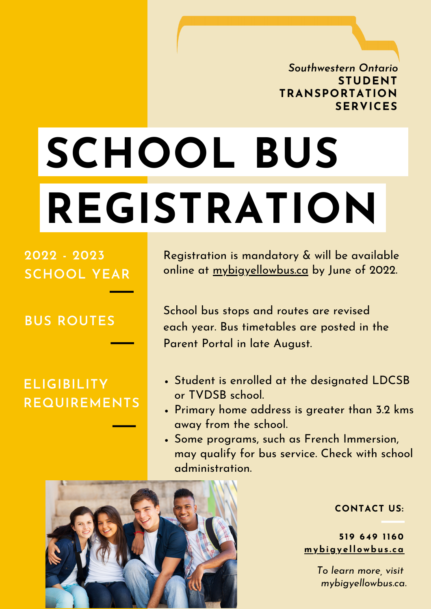*Southwestern Ontario* **STUDENT TRANSPORTATION SERVICES**

# **SCHOOL BUS REGISTRATION**

**2022 - 2023 SCHOOL YEAR**

**BUS ROUTES**

### **ELIGIBILITY REQUIREMENTS**

Registration is mandatory & will be available online at mybigyellowbus.ca by June of 2022.

School bus stops and routes are revised each year. Bus timetables are posted in the Parent Portal in late August.

- Student is enrolled at the designated LDCSB or TVDSB school.
- Primary home address is greater than 3.2 kms away from the school.
- Some programs, such as French Immersion, may qualify for bus service. Check with school administration.



#### **CONTACT US:**

**5 1 9 64 9 1160 mybigy e llowbus . ca**

> *To learn more, visit mybigyellowbus.ca.*